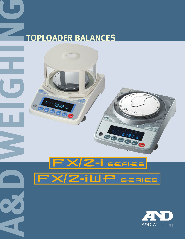# **TOPLOADER BALANCES**



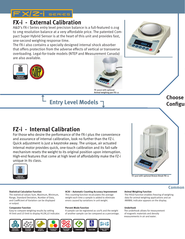

# **FX-i - External Calibration**

A&D's FX-i Series entry level precision balance is a full-featured 0.01g to 1mg resolution balance at a very affordable price. The patented Compact Super Hybrid Sensor is at the heart of this unit and provides fast, one-second weighing response time.

The FX-i also contains a specially designed internal shock absorber that offers protection from the adverse effects of vertical or transverse overloading. Legal-for-trade models (NTEP and Measurement Canada) are also available.





# **Entry Level Models** "

# **FZ-i - Internal Calibration**

For those who desire the performance of the FX-i plus the convenience and assurance of internal calibration, look no further than the FZ-i. Quick adjustment is just a keystroke away. The unique, air actuated internal motor provides quick, one-touch calibration and its fail-safe mechanism resets the weight to its original position upon interruption. High-end features that come at high level of affordability make the FZ-i unique in its class.





or output.

Easy to compare weighing results by setting and A sample can be registered as 100% and the weight The underhook allows for measurement

## **Statistical Calculation Function ACAI – Automatic Counting Accuracy Improvement Animal Weighing Function**

The statistical values Sum, Maximum, Minimum, This counting function recalculates the average The HOLD function enables freezing of weighing Range, Standard Deviation, Number of Data, weight each time a sample is added to eliminate data for animal weighing applications and an and Coefficient of Variation can be displayed errors caused by variations in unit weight. ANIMAL indicator appears on the display.

## **Comparator Function Percent Mode Function Underhook**

HI limit and LO limit to display HI,OK,LO indicator. of another sample can be compared as a percentage. of magnetic materials and density



measurements in air and water.

## **Choose Configu**

## **Common**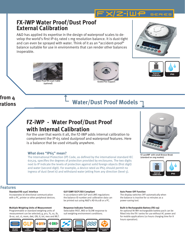

## **FX-iWP Water Proof/Dust Proof External Calibration**

A&D has applied its expertise in the design of waterproof scales to develop the world's first IP-65 rated 1 mg resolution balance. It is dust-tight and can even be sprayed with water. Think of it as an "accident-proof" balance suitable for use in environments that can render other balances inoperable.









## **from 4 rations**

# **Water/Dust Proof Models** "

# **FZ-iWP - Water Proof/Dust Proof with Internal Calibration**

For the user that wants it all, the FZ-iWP adds internal calibration to complement the IP-65 rated dustproof and waterproof features. Here is a balance that be used virtually anywhere.

## **What does "IP65" mean?**

The International Protection (IP) Code, as defined by the international standard IEC 60529, specifies the degrees of protection provided by enclosures. The two digits next to IP indicate the levels of protection against solid foreign objects (first digit) and water (second digit). For example, a device rated as IP65 should permit no ingress of dust (level 6) and withstand water jetting from any direction (level 5).



FZ-300iWP with small Breeze Break (standard on 1mg models)



## **Features**

## Multiple Weighing Units of Measurement **Response Indicator Function** Built-in Rechargeable Battery (FXi-09)

Programmable or standard weighing units of Selectable FAST, MID or SLOW response to An optional Ni-MH rechargeable battery pack can be



## Standard RS-232C Interface **GLP/GMP/GCP/ISO Compliant** Auto Power OFF Function

Incorporates bi-directional communication In accordance with GLP and LIMS regulations The display switches OFF automatically when with a PC, printer or other peripheral devices. the balance ID number and calibration data can the balance is inactive for 10 minutes as a be printed out using A&D's AD-8121B or a PC. power-saving tool.



measurement can be selected; g, pcs, %, oz, lb, suit weighing environment conditions. Fitted into the FX-i series for use without AC power and lb-oz, ozt, ct, mom, dwt, GN, tl, tol, mes and MLT. **for mobile applications** (10 hours charging time for 8 hours operation).